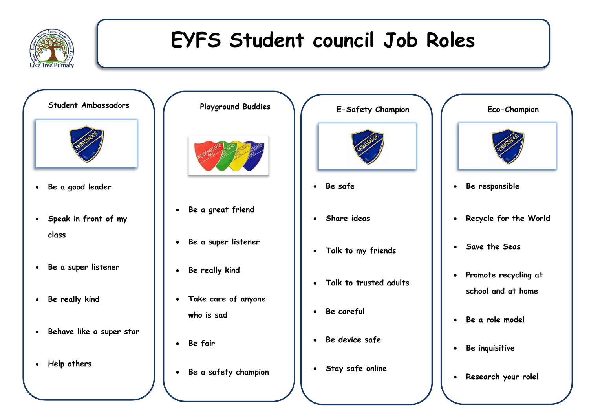

## **EYFS Student council Job Roles**



- **Be a super listener**
- **Be really kind**
- **Behave like a super star**

**Support playground** 

**Help others**





- **Be safe**
- **Share ideas**
- **Talk to my friends**
- **Talk to trusted adults**
- **Be careful**
- **Be device safe**
- **Stay safe online**



- **Be responsible**
- **Recycle for the World**
- **Save the Seas**
- **Promote recycling at school and at home**
- **Be a role model**
- **Be inquisitive**
- **Research your role!**